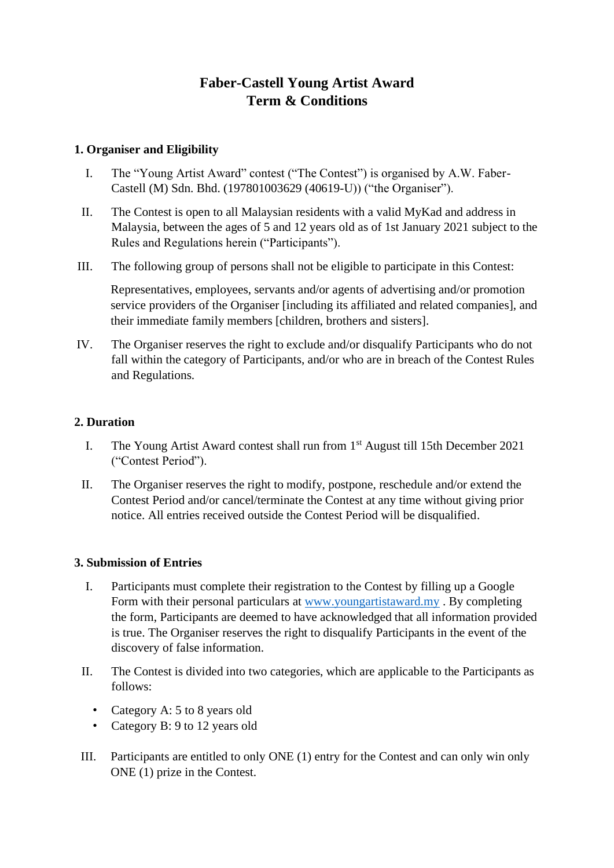# **Faber-Castell Young Artist Award Term & Conditions**

# **1. Organiser and Eligibility**

- I. The "Young Artist Award" contest ("The Contest") is organised by A.W. Faber-Castell (M) Sdn. Bhd. (197801003629 (40619-U)) ("the Organiser").
- II. The Contest is open to all Malaysian residents with a valid MyKad and address in Malaysia, between the ages of 5 and 12 years old as of 1st January 2021 subject to the Rules and Regulations herein ("Participants").
- III. The following group of persons shall not be eligible to participate in this Contest:

Representatives, employees, servants and/or agents of advertising and/or promotion service providers of the Organiser [including its affiliated and related companies], and their immediate family members [children, brothers and sisters].

IV. The Organiser reserves the right to exclude and/or disqualify Participants who do not fall within the category of Participants, and/or who are in breach of the Contest Rules and Regulations.

# **2. Duration**

- I. The Young Artist Award contest shall run from  $1<sup>st</sup>$  August till 15th December 2021 ("Contest Period").
- II. The Organiser reserves the right to modify, postpone, reschedule and/or extend the Contest Period and/or cancel/terminate the Contest at any time without giving prior notice. All entries received outside the Contest Period will be disqualified.

#### **3. Submission of Entries**

- I. Participants must complete their registration to the Contest by filling up a Google Form with their personal particulars at [www.youngartistaward.my](http://www.youngartistaward.my/) . By completing the form, Participants are deemed to have acknowledged that all information provided is true. The Organiser reserves the right to disqualify Participants in the event of the discovery of false information.
- II. The Contest is divided into two categories, which are applicable to the Participants as follows:
	- Category A: 5 to 8 years old
	- Category B: 9 to 12 years old
- III. Participants are entitled to only ONE (1) entry for the Contest and can only win only ONE (1) prize in the Contest.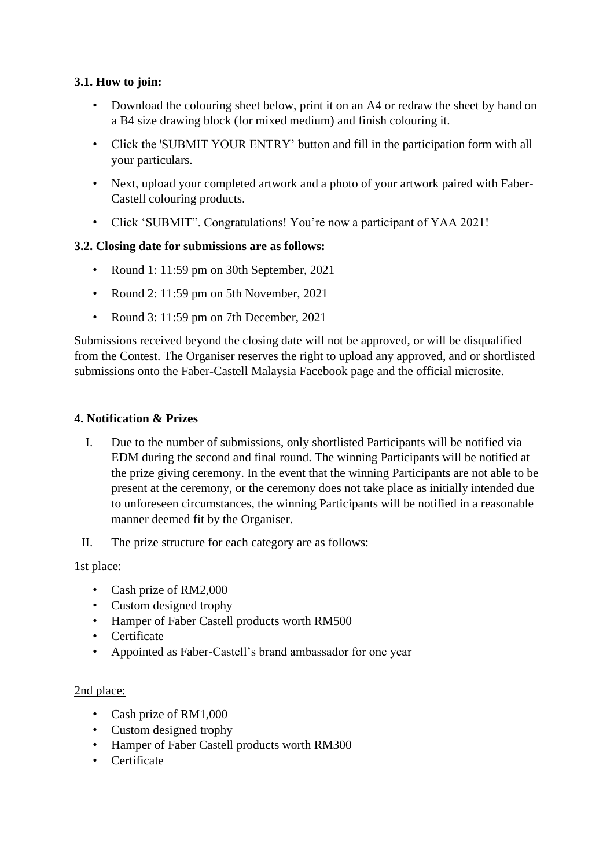# **3.1. How to join:**

- Download the colouring sheet below, print it on an A4 or redraw the sheet by hand on a B4 size drawing block (for mixed medium) and finish colouring it.
- Click the 'SUBMIT YOUR ENTRY' button and fill in the participation form with all your particulars.
- Next, upload your completed artwork and a photo of your artwork paired with Faber-Castell colouring products.
- Click 'SUBMIT". Congratulations! You're now a participant of YAA 2021!

# **3.2. Closing date for submissions are as follows:**

- Round 1: 11:59 pm on 30th September, 2021
- Round 2: 11:59 pm on 5th November, 2021
- Round 3: 11:59 pm on 7th December, 2021

Submissions received beyond the closing date will not be approved, or will be disqualified from the Contest. The Organiser reserves the right to upload any approved, and or shortlisted submissions onto the Faber-Castell Malaysia Facebook page and the official microsite.

#### **4. Notification & Prizes**

- I. Due to the number of submissions, only shortlisted Participants will be notified via EDM during the second and final round. The winning Participants will be notified at the prize giving ceremony. In the event that the winning Participants are not able to be present at the ceremony, or the ceremony does not take place as initially intended due to unforeseen circumstances, the winning Participants will be notified in a reasonable manner deemed fit by the Organiser.
- II. The prize structure for each category are as follows:

#### 1st place:

- Cash prize of RM2,000
- Custom designed trophy
- Hamper of Faber Castell products worth RM500
- Certificate
- Appointed as Faber-Castell's brand ambassador for one year

#### 2nd place:

- Cash prize of RM1,000
- Custom designed trophy
- Hamper of Faber Castell products worth RM300
- Certificate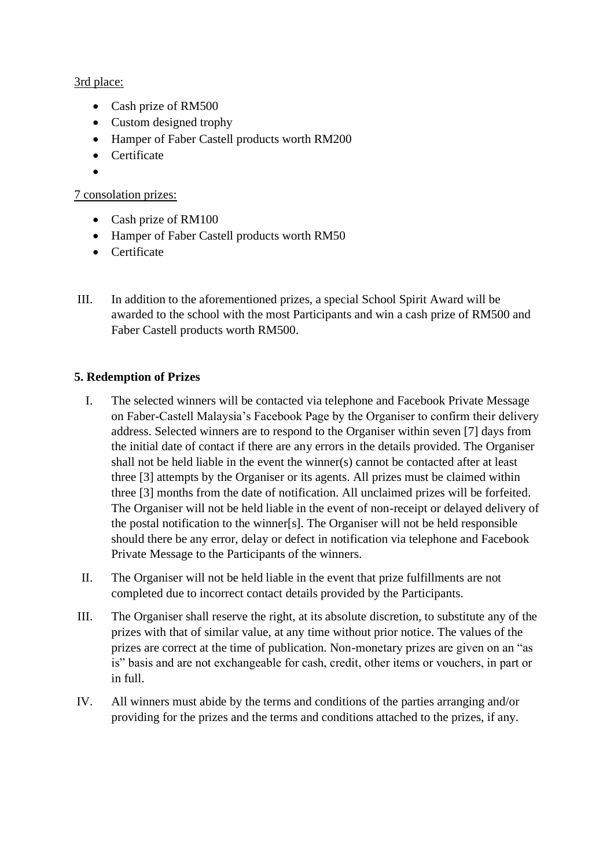# 3rd place:

- Cash prize of RM500
- Custom designed trophy
- Hamper of Faber Castell products worth RM200
- Certificate
- •

# 7 consolation prizes:

- Cash prize of RM100
- Hamper of Faber Castell products worth RM50
- Certificate
- III. In addition to the aforementioned prizes, a special School Spirit Award will be awarded to the school with the most Participants and win a cash prize of RM500 and Faber Castell products worth RM500.

# **5. Redemption of Prizes**

- I. The selected winners will be contacted via telephone and Facebook Private Message on Faber-Castell Malaysia's Facebook Page by the Organiser to confirm their delivery address. Selected winners are to respond to the Organiser within seven [7] days from the initial date of contact if there are any errors in the details provided. The Organiser shall not be held liable in the event the winner(s) cannot be contacted after at least three [3] attempts by the Organiser or its agents. All prizes must be claimed within three [3] months from the date of notification. All unclaimed prizes will be forfeited. The Organiser will not be held liable in the event of non-receipt or delayed delivery of the postal notification to the winner[s]. The Organiser will not be held responsible should there be any error, delay or defect in notification via telephone and Facebook Private Message to the Participants of the winners.
- II. The Organiser will not be held liable in the event that prize fulfillments are not completed due to incorrect contact details provided by the Participants.
- III. The Organiser shall reserve the right, at its absolute discretion, to substitute any of the prizes with that of similar value, at any time without prior notice. The values of the prizes are correct at the time of publication. Non-monetary prizes are given on an "as is" basis and are not exchangeable for cash, credit, other items or vouchers, in part or in full.
- IV. All winners must abide by the terms and conditions of the parties arranging and/or providing for the prizes and the terms and conditions attached to the prizes, if any.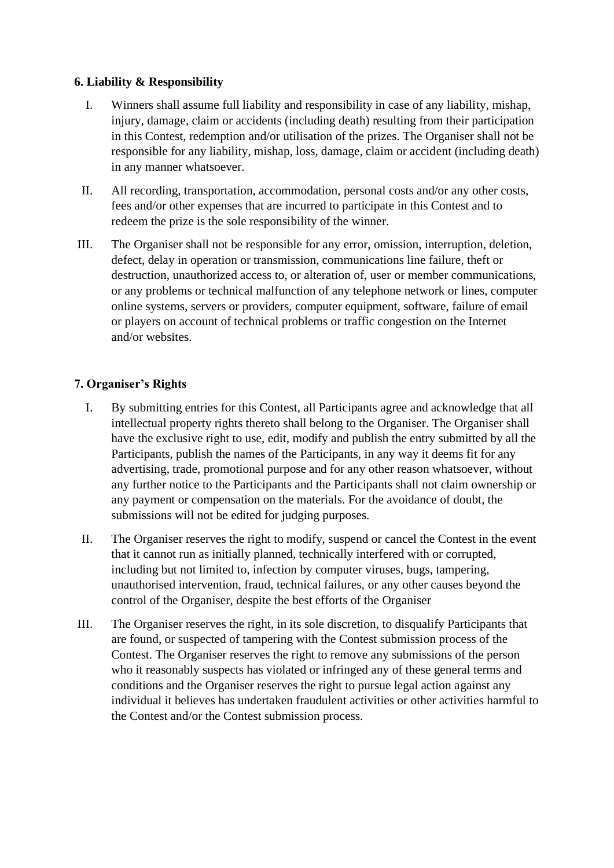#### **6. Liability & Responsibility**

- I. Winners shall assume full liability and responsibility in case of any liability, mishap, injury, damage, claim or accidents (including death) resulting from their participation in this Contest, redemption and/or utilisation of the prizes. The Organiser shall not be responsible for any liability, mishap, loss, damage, claim or accident (including death) in any manner whatsoever.
- II. All recording, transportation, accommodation, personal costs and/or any other costs, fees and/or other expenses that are incurred to participate in this Contest and to redeem the prize is the sole responsibility of the winner.
- III. The Organiser shall not be responsible for any error, omission, interruption, deletion, defect, delay in operation or transmission, communications line failure, theft or destruction, unauthorized access to, or alteration of, user or member communications, or any problems or technical malfunction of any telephone network or lines, computer online systems, servers or providers, computer equipment, software, failure of email or players on account of technical problems or traffic congestion on the Internet and/or websites.

#### **7. Organiser's Rights**

- I. By submitting entries for this Contest, all Participants agree and acknowledge that all intellectual property rights thereto shall belong to the Organiser. The Organiser shall have the exclusive right to use, edit, modify and publish the entry submitted by all the Participants, publish the names of the Participants, in any way it deems fit for any advertising, trade, promotional purpose and for any other reason whatsoever, without any further notice to the Participants and the Participants shall not claim ownership or any payment or compensation on the materials. For the avoidance of doubt, the submissions will not be edited for judging purposes.
- II. The Organiser reserves the right to modify, suspend or cancel the Contest in the event that it cannot run as initially planned, technically interfered with or corrupted, including but not limited to, infection by computer viruses, bugs, tampering, unauthorised intervention, fraud, technical failures, or any other causes beyond the control of the Organiser, despite the best efforts of the Organiser
- III. The Organiser reserves the right, in its sole discretion, to disqualify Participants that are found, or suspected of tampering with the Contest submission process of the Contest. The Organiser reserves the right to remove any submissions of the person who it reasonably suspects has violated or infringed any of these general terms and conditions and the Organiser reserves the right to pursue legal action against any individual it believes has undertaken fraudulent activities or other activities harmful to the Contest and/or the Contest submission process.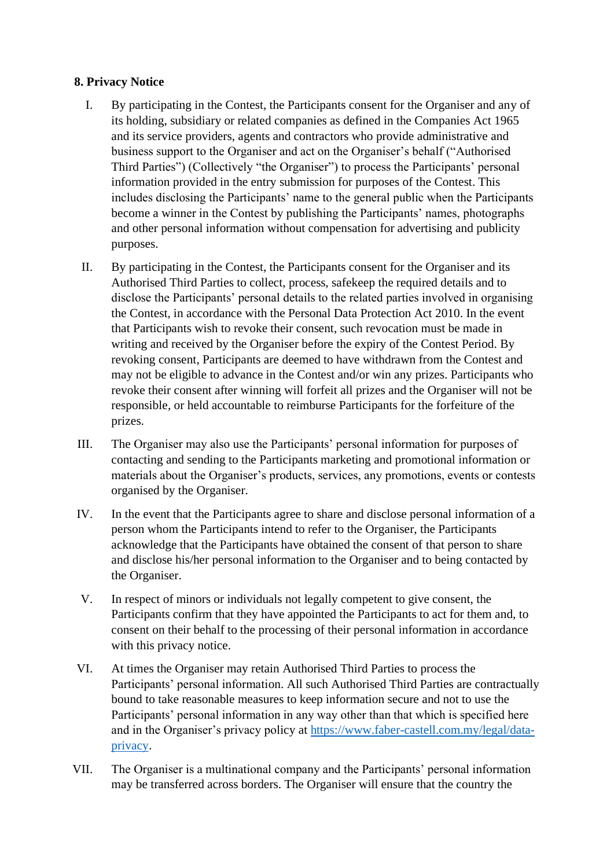### **8. Privacy Notice**

- I. By participating in the Contest, the Participants consent for the Organiser and any of its holding, subsidiary or related companies as defined in the Companies Act 1965 and its service providers, agents and contractors who provide administrative and business support to the Organiser and act on the Organiser's behalf ("Authorised Third Parties") (Collectively "the Organiser") to process the Participants' personal information provided in the entry submission for purposes of the Contest. This includes disclosing the Participants' name to the general public when the Participants become a winner in the Contest by publishing the Participants' names, photographs and other personal information without compensation for advertising and publicity purposes.
- II. By participating in the Contest, the Participants consent for the Organiser and its Authorised Third Parties to collect, process, safekeep the required details and to disclose the Participants' personal details to the related parties involved in organising the Contest, in accordance with the Personal Data Protection Act 2010. In the event that Participants wish to revoke their consent, such revocation must be made in writing and received by the Organiser before the expiry of the Contest Period. By revoking consent, Participants are deemed to have withdrawn from the Contest and may not be eligible to advance in the Contest and/or win any prizes. Participants who revoke their consent after winning will forfeit all prizes and the Organiser will not be responsible, or held accountable to reimburse Participants for the forfeiture of the prizes.
- III. The Organiser may also use the Participants' personal information for purposes of contacting and sending to the Participants marketing and promotional information or materials about the Organiser's products, services, any promotions, events or contests organised by the Organiser.
- IV. In the event that the Participants agree to share and disclose personal information of a person whom the Participants intend to refer to the Organiser, the Participants acknowledge that the Participants have obtained the consent of that person to share and disclose his/her personal information to the Organiser and to being contacted by the Organiser.
- V. In respect of minors or individuals not legally competent to give consent, the Participants confirm that they have appointed the Participants to act for them and, to consent on their behalf to the processing of their personal information in accordance with this privacy notice.
- VI. At times the Organiser may retain Authorised Third Parties to process the Participants' personal information. All such Authorised Third Parties are contractually bound to take reasonable measures to keep information secure and not to use the Participants' personal information in any way other than that which is specified here and in the Organiser's privacy policy at [https://www.faber-castell.com.my/legal/data](https://www.faber-castell.com.my/legal/data-privacy)[privacy.](https://www.faber-castell.com.my/legal/data-privacy)
- VII. The Organiser is a multinational company and the Participants' personal information may be transferred across borders. The Organiser will ensure that the country the